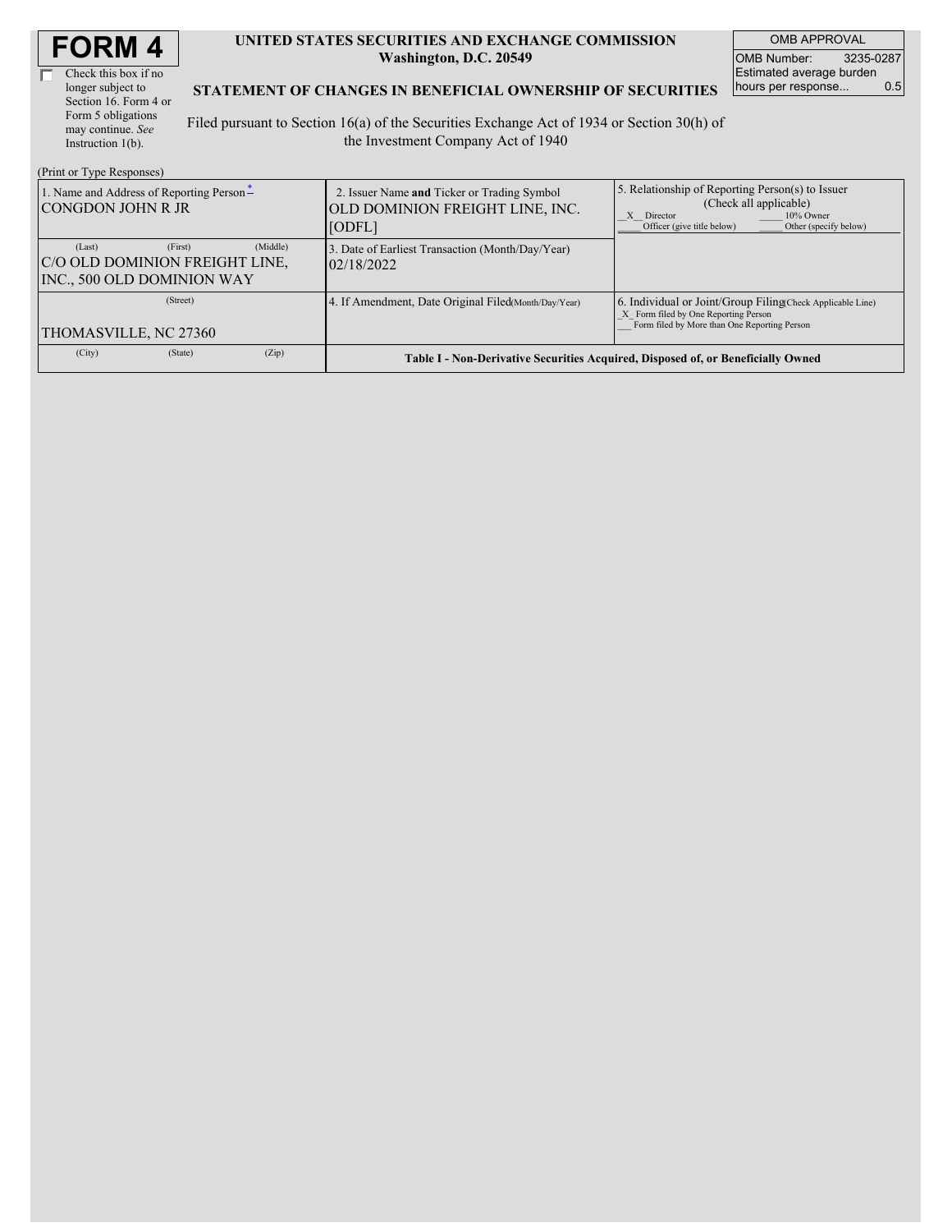| <b>FORM4</b> |
|--------------|
|--------------|

| Check this box if no  |  |
|-----------------------|--|
| longer subject to     |  |
| Section 16. Form 4 or |  |
| Form 5 obligations    |  |
| may continue. See     |  |
| Instruction 1(b).     |  |

 $(D_{\text{rint}} \text{ or } T_{\text{VDA}} D_{\text{ext}})$ 

#### **UNITED STATES SECURITIES AND EXCHANGE COMMISSION Washington, D.C. 20549**

OMB APPROVAL OMB Number: 3235-0287 Estimated average burden<br>hours per response... 0.5 hours per response...

#### **STATEMENT OF CHANGES IN BENEFICIAL OWNERSHIP OF SECURITIES**

Filed pursuant to Section 16(a) of the Securities Exchange Act of 1934 or Section 30(h) of the Investment Company Act of 1940

| $(1 \text{ min of 1 ypc respectively})$                                                       |                                                                                          |                                                                                                                                                              |  |  |  |
|-----------------------------------------------------------------------------------------------|------------------------------------------------------------------------------------------|--------------------------------------------------------------------------------------------------------------------------------------------------------------|--|--|--|
| 1. Name and Address of Reporting Person-<br><b>CONGDON JOHN R JR</b>                          | 2. Issuer Name and Ticker or Trading Symbol<br>OLD DOMINION FREIGHT LINE, INC.<br>[ODFL] | 5. Relationship of Reporting Person(s) to Issuer<br>(Check all applicable)<br>10% Owner<br>X Director<br>Officer (give title below)<br>Other (specify below) |  |  |  |
| (Middle)<br>(First)<br>(Last)<br>C/O OLD DOMINION FREIGHT LINE,<br>INC., 500 OLD DOMINION WAY | 3. Date of Earliest Transaction (Month/Day/Year)<br>02/18/2022                           |                                                                                                                                                              |  |  |  |
| (Street)<br>THOMASVILLE, NC 27360                                                             | 4. If Amendment, Date Original Filed (Month/Day/Year)                                    | 6. Individual or Joint/Group Filing Check Applicable Line)<br>X Form filed by One Reporting Person<br>Form filed by More than One Reporting Person           |  |  |  |
| (Zip)<br>(City)<br>(State)                                                                    | Table I - Non-Derivative Securities Acquired, Disposed of, or Beneficially Owned         |                                                                                                                                                              |  |  |  |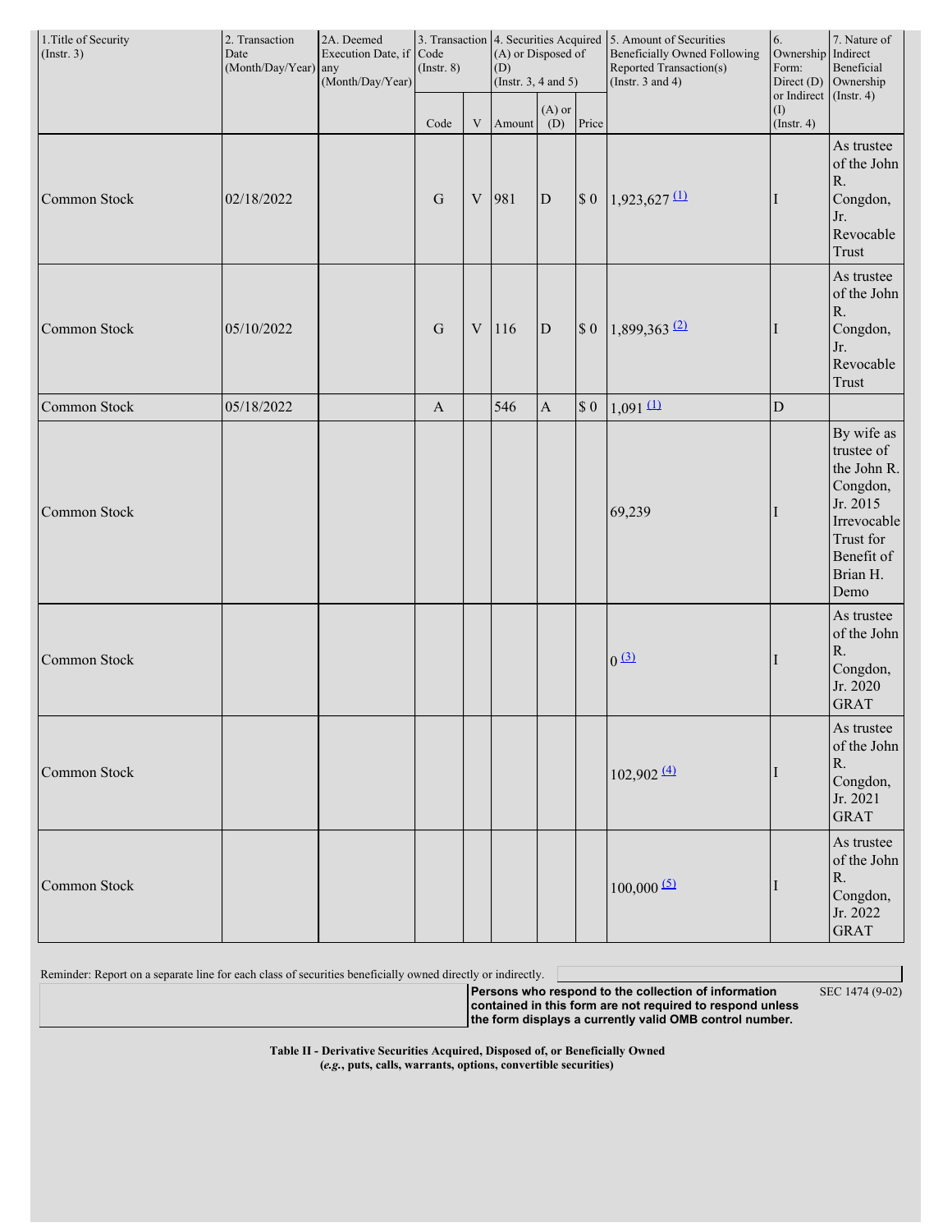| 1. Title of Security<br>$($ Instr. 3 $)$ | 2. Transaction<br>Date<br>(Month/Day/Year) any | 2A. Deemed<br>Execution Date, if Code<br>(Month/Day/Year) | $($ Instr. $8)$ |                           | (D)    | (A) or Disposed of<br>(Instr. $3, 4$ and $5$ ) |        | 3. Transaction 4. Securities Acquired 5. Amount of Securities<br><b>Beneficially Owned Following</b><br>Reported Transaction(s)<br>(Instr. $3$ and $4$ ) | 6.<br>Ownership<br>Form:<br>Direct (D) | 7. Nature of<br>Indirect<br>Beneficial<br>Ownership<br>or Indirect (Instr. 4)                                                 |
|------------------------------------------|------------------------------------------------|-----------------------------------------------------------|-----------------|---------------------------|--------|------------------------------------------------|--------|----------------------------------------------------------------------------------------------------------------------------------------------------------|----------------------------------------|-------------------------------------------------------------------------------------------------------------------------------|
|                                          |                                                |                                                           | Code            | $\ensuremath{\mathbf{V}}$ | Amount | $(A)$ or<br>(D)                                | Price  |                                                                                                                                                          | (1)<br>$($ Instr. 4 $)$                |                                                                                                                               |
| Common Stock                             | 02/18/2022                                     |                                                           | G               | $\ensuremath{\mathbf{V}}$ | 981    | $\overline{D}$                                 | $\$$ 0 | $1,923,627$ (1)                                                                                                                                          |                                        | As trustee<br>of the John<br>${\bf R}.$<br>Congdon,<br>Jr.<br>Revocable<br><b>Trust</b>                                       |
| Common Stock                             | 05/10/2022                                     |                                                           | $\mathbf G$     | $\ensuremath{\mathbf{V}}$ | 116    | $\overline{D}$                                 | $\$$ 0 | $1,899,363$ <sup>(2)</sup>                                                                                                                               |                                        | As trustee<br>of the John<br>${\bf R}.$<br>Congdon,<br>Jr.<br>Revocable<br>Trust                                              |
| Common Stock                             | 05/18/2022                                     |                                                           | $\mathbf{A}$    |                           | 546    | $\boldsymbol{\rm{A}}$                          | $\$$ 0 | $1,091 \underline{11}$                                                                                                                                   | $\mathbf D$                            |                                                                                                                               |
| Common Stock                             |                                                |                                                           |                 |                           |        |                                                |        | 69,239                                                                                                                                                   |                                        | By wife as<br>trustee of<br>the John R.<br>Congdon,<br>Jr. 2015<br>Irrevocable<br>Trust for<br>Benefit of<br>Brian H.<br>Demo |
| Common Stock                             |                                                |                                                           |                 |                           |        |                                                |        | 0(3)                                                                                                                                                     |                                        | As trustee<br>of the John<br>${\bf R}.$<br>Congdon,<br>Jr. 2020<br><b>GRAT</b>                                                |
| Common Stock                             |                                                |                                                           |                 |                           |        |                                                |        | $102,902 \frac{(4)}{2}$                                                                                                                                  |                                        | As trustee<br>of the John<br>R.<br>Congdon,<br>Jr. 2021<br><b>GRAT</b>                                                        |
| Common Stock                             |                                                |                                                           |                 |                           |        |                                                |        | $100,000$ <sup>(5)</sup>                                                                                                                                 |                                        | As trustee<br>of the John<br>R.<br>Congdon,<br>Jr. 2022<br><b>GRAT</b>                                                        |

Reminder: Report on a separate line for each class of securities beneficially owned directly or indirectly.

**Persons who respond to the collection of information contained in this form are not required to respond unless**

**the form displays a currently valid OMB control number.**

SEC 1474 (9-02)

**Table II - Derivative Securities Acquired, Disposed of, or Beneficially Owned (***e.g.***, puts, calls, warrants, options, convertible securities)**